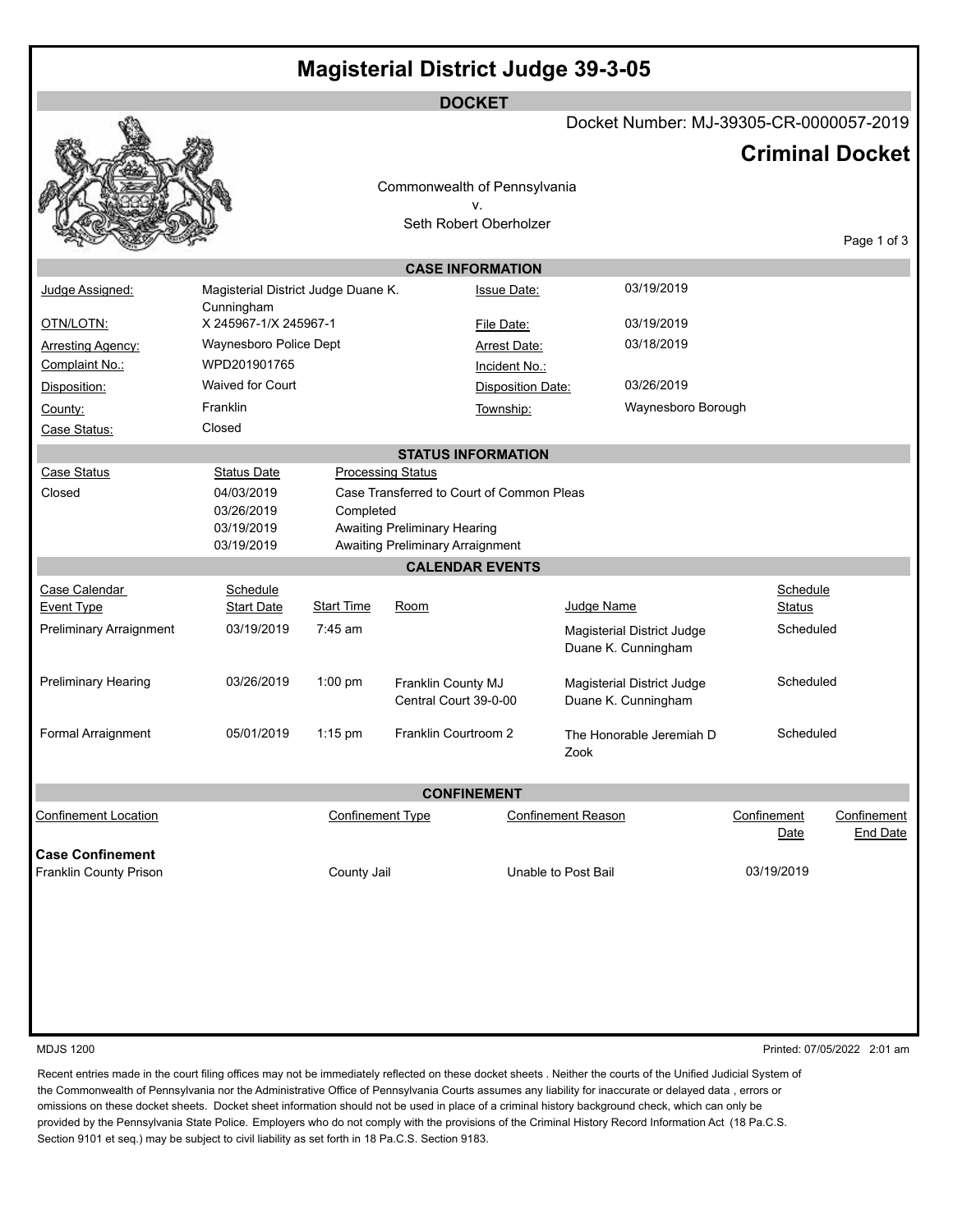|                                       |                                        |                                                                       | <b>DOCKET</b>                       |                                   |                                                   | Docket Number: MJ-39305-CR-0000057-2019 |                     |                         |
|---------------------------------------|----------------------------------------|-----------------------------------------------------------------------|-------------------------------------|-----------------------------------|---------------------------------------------------|-----------------------------------------|---------------------|-------------------------|
|                                       |                                        |                                                                       |                                     |                                   |                                                   |                                         |                     |                         |
|                                       |                                        |                                                                       |                                     |                                   |                                                   | <b>Criminal Docket</b>                  |                     |                         |
|                                       |                                        | Commonwealth of Pennsylvania                                          |                                     |                                   |                                                   |                                         |                     |                         |
|                                       |                                        |                                                                       | v.                                  |                                   |                                                   |                                         |                     |                         |
|                                       |                                        |                                                                       | Seth Robert Oberholzer              |                                   |                                                   |                                         |                     |                         |
|                                       |                                        |                                                                       |                                     |                                   |                                                   |                                         |                     | Page 1 of 3             |
|                                       |                                        |                                                                       | <b>CASE INFORMATION</b>             |                                   |                                                   |                                         |                     |                         |
| Judge Assigned:                       | Magisterial District Judge Duane K.    |                                                                       |                                     | 03/19/2019<br><b>Issue Date:</b>  |                                                   |                                         |                     |                         |
|                                       | Cunningham                             |                                                                       |                                     |                                   |                                                   |                                         |                     |                         |
| OTN/LOTN:                             | X 245967-1/X 245967-1                  |                                                                       |                                     | 03/19/2019<br>File Date:          |                                                   |                                         |                     |                         |
| <b>Arresting Agency:</b>              | Waynesboro Police Dept<br>WPD201901765 |                                                                       |                                     | 03/18/2019<br><b>Arrest Date:</b> |                                                   |                                         |                     |                         |
| Complaint No.:                        | Waived for Court                       |                                                                       |                                     | Incident No.:<br>03/26/2019       |                                                   |                                         |                     |                         |
| Disposition:                          | Franklin                               |                                                                       |                                     |                                   | Disposition Date:                                 |                                         |                     |                         |
| County:                               | Closed                                 |                                                                       |                                     | Township:                         |                                                   | Waynesboro Borough                      |                     |                         |
| Case Status:                          |                                        |                                                                       |                                     |                                   |                                                   |                                         |                     |                         |
| Case Status                           |                                        |                                                                       | <b>STATUS INFORMATION</b>           |                                   |                                                   |                                         |                     |                         |
| Closed                                | <b>Status Date</b><br>04/03/2019       | <b>Processing Status</b><br>Case Transferred to Court of Common Pleas |                                     |                                   |                                                   |                                         |                     |                         |
|                                       | 03/26/2019                             | Completed                                                             |                                     |                                   |                                                   |                                         |                     |                         |
|                                       | 03/19/2019                             |                                                                       | <b>Awaiting Preliminary Hearing</b> |                                   |                                                   |                                         |                     |                         |
|                                       | 03/19/2019                             |                                                                       | Awaiting Preliminary Arraignment    |                                   |                                                   |                                         |                     |                         |
|                                       |                                        |                                                                       | <b>CALENDAR EVENTS</b>              |                                   |                                                   |                                         |                     |                         |
| Case Calendar                         | Schedule                               |                                                                       |                                     |                                   |                                                   |                                         | Schedule            |                         |
| <b>Event Type</b>                     | <b>Start Date</b>                      | <b>Start Time</b>                                                     | Room                                |                                   | Judge Name                                        |                                         | <b>Status</b>       |                         |
| Preliminary Arraignment               | 03/19/2019                             | $7:45$ am                                                             |                                     |                                   |                                                   | Magisterial District Judge              | Scheduled           |                         |
|                                       |                                        |                                                                       |                                     |                                   |                                                   | Duane K. Cunningham                     |                     |                         |
| Preliminary Hearing                   | 03/26/2019                             | 1:00 pm                                                               | Franklin County MJ                  |                                   |                                                   |                                         | Scheduled           |                         |
|                                       |                                        | Central Court 39-0-00                                                 |                                     |                                   | Magisterial District Judge<br>Duane K. Cunningham |                                         |                     |                         |
|                                       |                                        |                                                                       |                                     |                                   |                                                   |                                         |                     |                         |
| Formal Arraignment                    | 05/01/2019                             | $1:15$ pm                                                             | Franklin Courtroom 2                |                                   |                                                   | The Honorable Jeremiah D                | Scheduled           |                         |
|                                       |                                        |                                                                       |                                     | Zook                              |                                                   |                                         |                     |                         |
|                                       |                                        |                                                                       |                                     |                                   |                                                   |                                         |                     |                         |
|                                       |                                        |                                                                       | <b>CONFINEMENT</b>                  |                                   |                                                   |                                         |                     |                         |
| <b>Confinement Location</b>           |                                        | <b>Confinement Type</b>                                               |                                     | <b>Confinement Reason</b>         |                                                   |                                         | Confinement<br>Date | Confinement<br>End Date |
| <b>Case Confinement</b>               |                                        |                                                                       |                                     |                                   |                                                   |                                         |                     |                         |
| Franklin County Prison<br>County Jail |                                        |                                                                       |                                     | Unable to Post Bail               |                                                   |                                         | 03/19/2019          |                         |
|                                       |                                        |                                                                       |                                     |                                   |                                                   |                                         |                     |                         |
|                                       |                                        |                                                                       |                                     |                                   |                                                   |                                         |                     |                         |
|                                       |                                        |                                                                       |                                     |                                   |                                                   |                                         |                     |                         |
|                                       |                                        |                                                                       |                                     |                                   |                                                   |                                         |                     |                         |
|                                       |                                        |                                                                       |                                     |                                   |                                                   |                                         |                     |                         |
|                                       |                                        |                                                                       |                                     |                                   |                                                   |                                         |                     |                         |

MDJS 1200 Printed: 07/05/2022 2:01 am

Recent entries made in the court filing offices may not be immediately reflected on these docket sheets . Neither the courts of the Unified Judicial System of the Commonwealth of Pennsylvania nor the Administrative Office of Pennsylvania Courts assumes any liability for inaccurate or delayed data , errors or omissions on these docket sheets. Docket sheet information should not be used in place of a criminal history background check, which can only be provided by the Pennsylvania State Police. Employers who do not comply with the provisions of the Criminal History Record Information Act (18 Pa.C.S. Section 9101 et seq.) may be subject to civil liability as set forth in 18 Pa.C.S. Section 9183.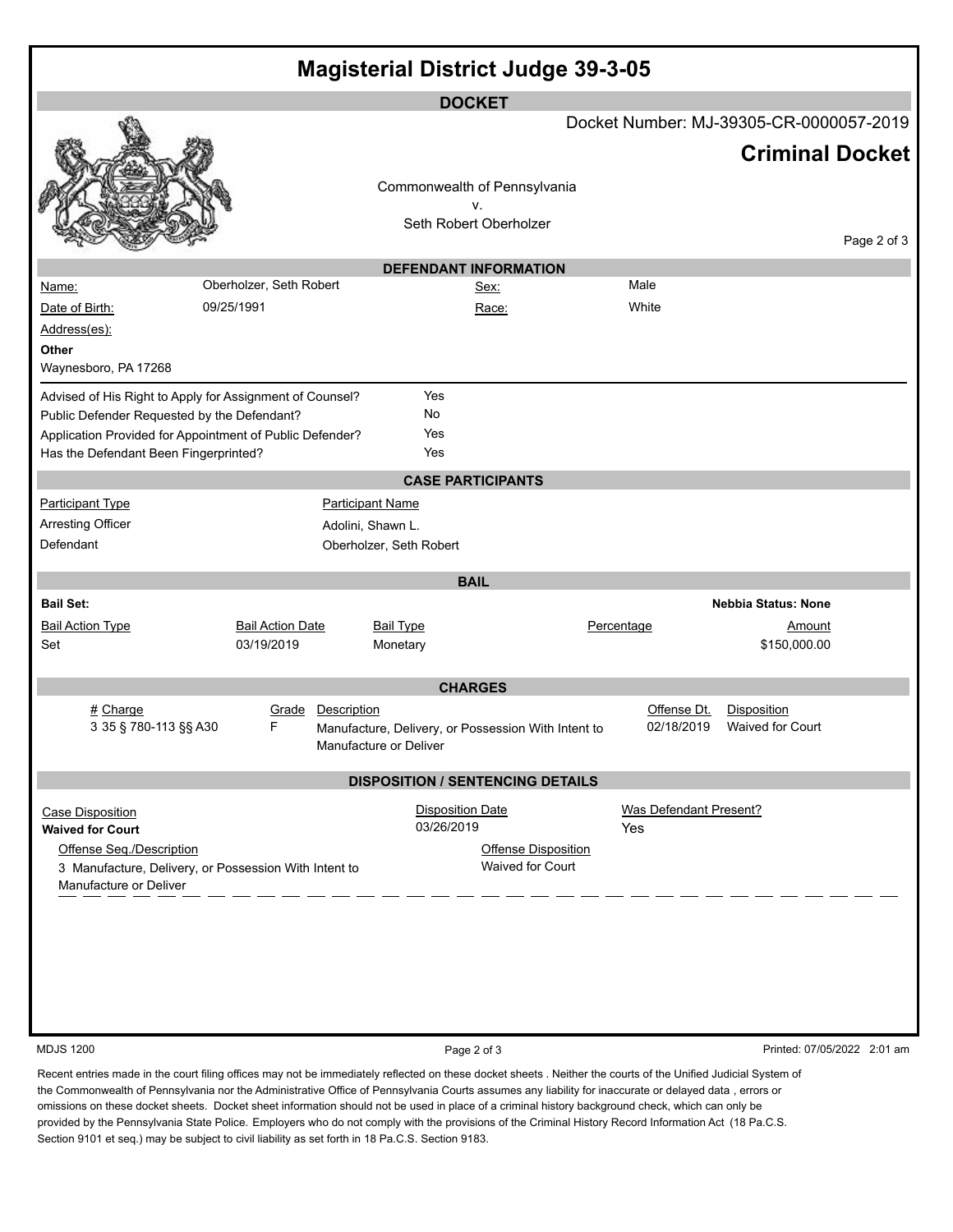| <b>Magisterial District Judge 39-3-05</b>                |                         |                         |                                                     |                           |                                 |  |  |  |  |  |  |  |
|----------------------------------------------------------|-------------------------|-------------------------|-----------------------------------------------------|---------------------------|---------------------------------|--|--|--|--|--|--|--|
| <b>DOCKET</b>                                            |                         |                         |                                                     |                           |                                 |  |  |  |  |  |  |  |
|                                                          |                         |                         | Docket Number: MJ-39305-CR-0000057-2019             |                           |                                 |  |  |  |  |  |  |  |
|                                                          |                         |                         |                                                     | <b>Criminal Docket</b>    |                                 |  |  |  |  |  |  |  |
|                                                          |                         |                         | Commonwealth of Pennsylvania                        |                           |                                 |  |  |  |  |  |  |  |
|                                                          |                         |                         | ٧.                                                  |                           |                                 |  |  |  |  |  |  |  |
|                                                          |                         |                         | Seth Robert Oberholzer                              |                           |                                 |  |  |  |  |  |  |  |
| Page 2 of 3                                              |                         |                         |                                                     |                           |                                 |  |  |  |  |  |  |  |
|                                                          |                         |                         | <b>DEFENDANT INFORMATION</b>                        |                           |                                 |  |  |  |  |  |  |  |
| Name:                                                    | Oberholzer, Seth Robert |                         | Sex:                                                | Male                      |                                 |  |  |  |  |  |  |  |
| Date of Birth:                                           | 09/25/1991              |                         | Race:                                               | White                     |                                 |  |  |  |  |  |  |  |
| Address(es):                                             |                         |                         |                                                     |                           |                                 |  |  |  |  |  |  |  |
| Other                                                    |                         |                         |                                                     |                           |                                 |  |  |  |  |  |  |  |
| Waynesboro, PA 17268                                     |                         |                         |                                                     |                           |                                 |  |  |  |  |  |  |  |
| Advised of His Right to Apply for Assignment of Counsel? |                         | Yes                     |                                                     |                           |                                 |  |  |  |  |  |  |  |
| Public Defender Requested by the Defendant?              | No                      |                         |                                                     |                           |                                 |  |  |  |  |  |  |  |
| Application Provided for Appointment of Public Defender? |                         | Yes                     |                                                     |                           |                                 |  |  |  |  |  |  |  |
| Has the Defendant Been Fingerprinted?                    |                         | Yes                     |                                                     |                           |                                 |  |  |  |  |  |  |  |
|                                                          |                         |                         | <b>CASE PARTICIPANTS</b>                            |                           |                                 |  |  |  |  |  |  |  |
| <b>Participant Type</b>                                  |                         | <b>Participant Name</b> |                                                     |                           |                                 |  |  |  |  |  |  |  |
| <b>Arresting Officer</b>                                 |                         | Adolini, Shawn L.       |                                                     |                           |                                 |  |  |  |  |  |  |  |
| Defendant                                                |                         | Oberholzer, Seth Robert |                                                     |                           |                                 |  |  |  |  |  |  |  |
|                                                          |                         |                         |                                                     |                           |                                 |  |  |  |  |  |  |  |
|                                                          |                         |                         | <b>BAIL</b>                                         |                           |                                 |  |  |  |  |  |  |  |
| <b>Bail Set:</b>                                         |                         |                         |                                                     |                           | <b>Nebbia Status: None</b>      |  |  |  |  |  |  |  |
| <b>Bail Action Type</b>                                  | <b>Bail Action Date</b> | <b>Bail Type</b>        |                                                     | Percentage                | Amount                          |  |  |  |  |  |  |  |
| Set                                                      | 03/19/2019              | Monetary                |                                                     |                           | \$150,000.00                    |  |  |  |  |  |  |  |
|                                                          |                         |                         |                                                     |                           |                                 |  |  |  |  |  |  |  |
|                                                          |                         |                         | <b>CHARGES</b>                                      |                           |                                 |  |  |  |  |  |  |  |
| # Charge<br>3 35 § 780-113 §§ A30                        | Grade<br>F              | Description             |                                                     | Offense Dt.<br>02/18/2019 | Disposition<br>Waived for Court |  |  |  |  |  |  |  |
|                                                          |                         | Manufacture or Deliver  | Manufacture, Delivery, or Possession With Intent to |                           |                                 |  |  |  |  |  |  |  |
|                                                          |                         |                         |                                                     |                           |                                 |  |  |  |  |  |  |  |
|                                                          |                         |                         | <b>DISPOSITION / SENTENCING DETAILS</b>             |                           |                                 |  |  |  |  |  |  |  |
| <b>Case Disposition</b>                                  |                         | <b>Disposition Date</b> |                                                     | Was Defendant Present?    |                                 |  |  |  |  |  |  |  |
| <b>Waived for Court</b>                                  |                         | 03/26/2019              |                                                     | <b>Yes</b>                |                                 |  |  |  |  |  |  |  |
| Offense Seq./Description                                 |                         |                         | Offense Disposition                                 |                           |                                 |  |  |  |  |  |  |  |
| 3 Manufacture, Delivery, or Possession With Intent to    |                         |                         | Waived for Court                                    |                           |                                 |  |  |  |  |  |  |  |
| Manufacture or Deliver                                   |                         |                         |                                                     |                           |                                 |  |  |  |  |  |  |  |
|                                                          |                         |                         |                                                     |                           |                                 |  |  |  |  |  |  |  |
|                                                          |                         |                         |                                                     |                           |                                 |  |  |  |  |  |  |  |
|                                                          |                         |                         |                                                     |                           |                                 |  |  |  |  |  |  |  |
|                                                          |                         |                         |                                                     |                           |                                 |  |  |  |  |  |  |  |
|                                                          |                         |                         |                                                     |                           |                                 |  |  |  |  |  |  |  |
|                                                          |                         |                         |                                                     |                           |                                 |  |  |  |  |  |  |  |
|                                                          |                         |                         |                                                     |                           |                                 |  |  |  |  |  |  |  |

MDJS 1200 **Page 2 of 3** Printed: 07/05/2022 2:01 am

Recent entries made in the court filing offices may not be immediately reflected on these docket sheets . Neither the courts of the Unified Judicial System of the Commonwealth of Pennsylvania nor the Administrative Office of Pennsylvania Courts assumes any liability for inaccurate or delayed data , errors or omissions on these docket sheets. Docket sheet information should not be used in place of a criminal history background check, which can only be provided by the Pennsylvania State Police. Employers who do not comply with the provisions of the Criminal History Record Information Act (18 Pa.C.S. Section 9101 et seq.) may be subject to civil liability as set forth in 18 Pa.C.S. Section 9183.